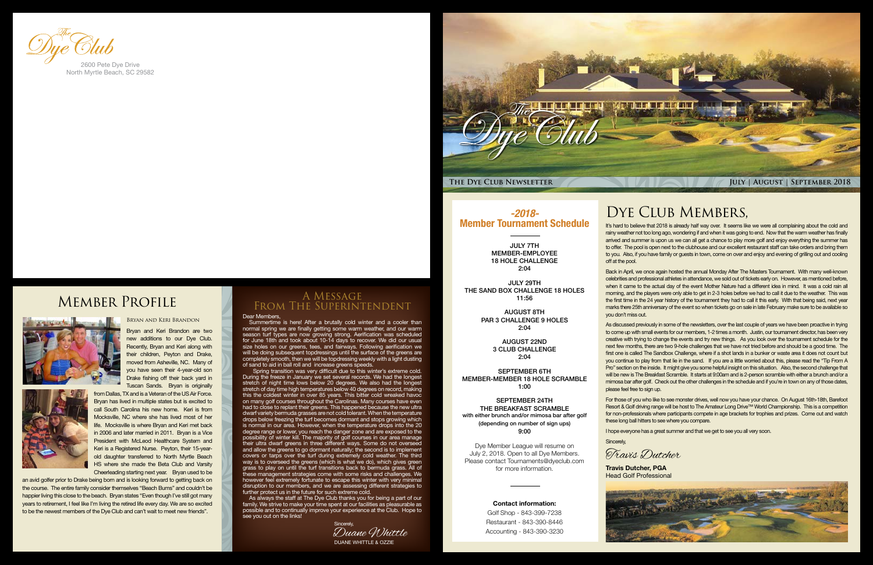

Summertime is here! After a brutally cold winter and a cooler than normal spring we are finally getting some warm weather, and our warm season turf types are now growing strong. Aerification was scheduled for June 18th and took about 10-14 days to recover. We did our usual size holes on our greens, tees, and fairways. Following aerification we will be doing subsequent topdressings until the surface of the greens are completely smooth, then we will be topdressing weekly with a light dusting of sand to aid in ball roll and increase greens speeds.

As always the staff at The Dye Club thanks you for being a part of our family. We strive to make your time spent at our facilities as pleasurable as possible and to continually improve your experience at the Club. Hope to see you out on the links!

### Dear Members, A Message From The Superintendent

 Spring transition was very difficult due to this winter's extreme cold. During the freeze in January we set several records. We had the longest stretch of night time lows below 20 degrees. We also had the longest stretch of day time high temperatures below 40 degrees on record, making this the coldest winter in over 85 years. This bitter cold wreaked havoc on many golf courses throughout the Carolinas. Many courses have even had to close to replant their greens. This happened because the new ultra dwarf variety bermuda grasses are not cold tolerant. When the temperature drops below freezing the turf becomes dormant and stops growing which is normal in our area. However, when the temperature drops into the 20 degree range or lower, you reach the danger zone and are exposed to the possibility of winter kill. The majority of golf courses in our area manage their ultra dwarf greens in three different ways. Some do not overseed and allow the greens to go dormant naturally; the second is to implement covers or tarps over the turf during extremely cold weather. The third way is to overseed the greens (which is what we do), which gives green grass to play on until the turf transitions back to bermuda grass. All of these management strategies come with some risks and challenges. We however feel extremely fortunate to escape this winter with very minimal disruption to our members, and we are assessing different strategies to further protect us in the future for such extreme cold.

It's hard to believe that 2018 is already half way over. It seems like we were all complaining about the cold and rainy weather not too long ago, wondering if and when it was going to end. Now that the warm weather has finally arrived and summer is upon us we can all get a chance to play more golf and enjoy everything the summer has to offer. The pool is open next to the clubhouse and our excellent restaurant staff can take orders and bring them to you. Also, if you have family or guests in town, come on over and enjoy and evening of grilling out and cooling off at the pool.

Back in April, we once again hosted the annual Monday After The Masters Tournament. With many well-known celebrities and professional athletes in attendance, we sold out of tickets early on. However, as mentioned before, when it came to the actual day of the event Mother Nature had a different idea in mind. It was a cold rain all morning, and the players were only able to get in 2-3 holes before we had to call it due to the weather. This was the first time in the 24 year history of the tournament they had to call it this early. With that being said, next year marks there 25th anniversary of the event so when tickets go on sale in late February make sure to be available so

AUGUST 22ND 3 CLUB CHALLENGE  $2.04$ 

you don't miss out.

As discussed previously in some of the newsletters, over the last couple of years we have been proactive in trying to come up with small events for our members, 1-2 times a month. Justin, our tournament director, has been very creative with trying to change the events and try new things. As you look over the tournament schedule for the next few months, there are two 9-hole challenges that we have not tried before and should be a good time. The first one is called The Sandbox Challenge, where if a shot lands in a bunker or waste area it does not count but you continue to play from that lie in the sand. If you are a little worried about this, please read the "Tip From A Pro" section on the inside. It might give you some helpful insight on this situation. Also, the second challenge that will be new is The Breakfast Scramble. It starts at 9:00am and is 2-person scramble with either a brunch and/or a mimosa bar after golf. Check out the other challenges in the schedule and if you're in town on any of those dates, please feel free to sign up.

For those of you who like to see monster drives, well now you have your chance. On August 16th-18th, Barefoot Resort & Golf driving range will be host to The Amateur Long Drive™ World Championship. This is a competition for non-professionals where participants compete in age brackets for trophies and prizes. Come out and watch these long ball hitters to see where you compare.

Sincerely,

I hope everyone has a great summer and that we get to see you all very soon.

### Bryan and Keri Brandon

Bryan and Keri Brandon are two new additions to our Dye Club. Recently, Bryan and Keri along with their children, Peyton and Drake, moved from Asheville, NC. Many of you have seen their 4-year-old son Drake fishing off their back yard in Tuscan Sands. Bryan is originally



from Dallas, TX and is a Veteran of the US Air Force. Bryan has lived in multiple states but is excited to call South Carolina his new home. Keri is from Mocksville, NC where she has lived most of her life. Mocksville is where Bryan and Keri met back in 2006 and later married in 2011. Bryan is a Vice President with McLeod Healthcare System and Keri is a Registered Nurse. Peyton, their 15-yearold daughter transferred to North Myrtle Beach HS where she made the Beta Club and Varsity Cheerleading starting next year. Bryan used to be

an avid golfer prior to Drake being born and is looking forward to getting back on the course. The entire family consider themselves "Beach Bums" and couldn't be happier living this close to the beach. Bryan states "Even though I've still got many years to retirement, I feel like I'm living the retired life every day. We are so excited to be the newest members of the Dye Club and can't wait to meet new friends".



North Myrtle Beach, SC 29582

## Member Profile



**Travis Dutcher, PGA**

DUANE WHITTLE & OZZIE Duane Whittle Sincerely,

### DYE CLUB MEMBERS,

Head Golf Professional



Travis Dutcher

### *-2018-* Member Tournament Schedule

JULY 7TH MEMBER-EMPLOYEE 18 HOLE CHALLENGE 2:04

JULY 29TH THE SAND BOX CHALLENGE 18 HOLES 11:56

> AUGUST 8TH PAR 3 CHALLENGE 9 HOLES 2:04

SEPTEMBER 6TH MEMBER-MEMBER 18 HOLE SCRAMBLE 1:00

SEPTEMBER 24TH THE BREAKFAST SCRAMBLE with either brunch and/or mimosa bar after golf (depending on number of sign ups) 9:00

Dye Member League will resume on July 2, 2018. Open to all Dye Members. Please contact Tournaments@dyeclub.com for more information.

### Contact information:

Golf Shop - 843-399-7238 Restaurant - 843-390-8446 Accounting - 843-390-3230